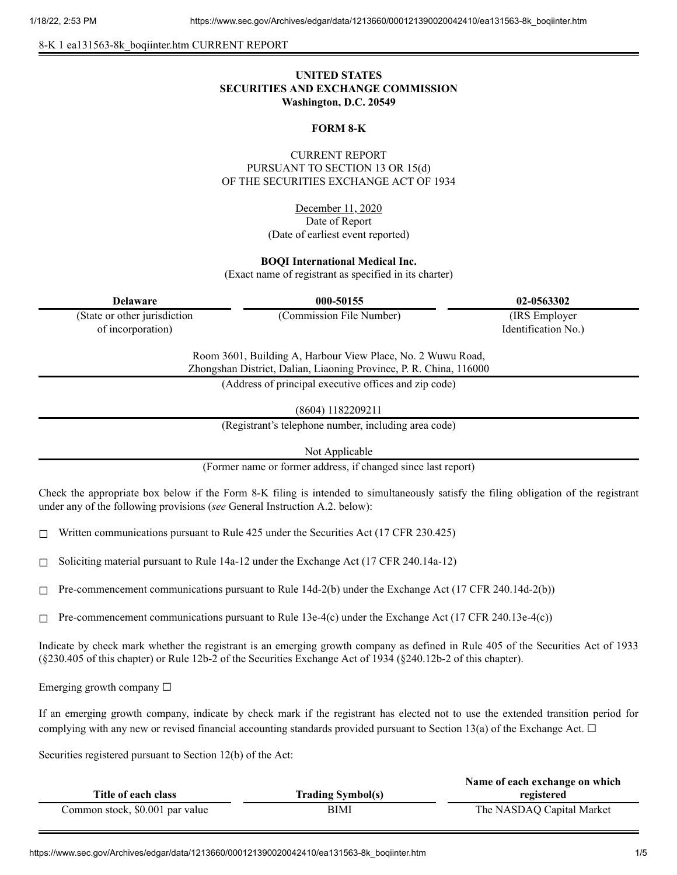8-K 1 ea131563-8k\_boqiinter.htm CURRENT REPORT

## **UNITED STATES SECURITIES AND EXCHANGE COMMISSION Washington, D.C. 20549**

#### **FORM 8-K**

## CURRENT REPORT PURSUANT TO SECTION 13 OR 15(d) OF THE SECURITIES EXCHANGE ACT OF 1934

December 11, 2020 Date of Report (Date of earliest event reported)

#### **BOQI International Medical Inc.**

(Exact name of registrant as specified in its charter)

| 000-50155                                                                                                                         | 02-0563302          |  |
|-----------------------------------------------------------------------------------------------------------------------------------|---------------------|--|
| (Commission File Number)                                                                                                          | (IRS Employer)      |  |
|                                                                                                                                   | Identification No.) |  |
| Room 3601, Building A, Harbour View Place, No. 2 Wuwu Road,<br>Zhongshan District, Dalian, Liaoning Province, P. R. China, 116000 |                     |  |
| (Address of principal executive offices and zip code)                                                                             |                     |  |
|                                                                                                                                   |                     |  |

(8604) 1182209211

(Registrant's telephone number, including area code)

Not Applicable

(Former name or former address, if changed since last report)

Check the appropriate box below if the Form 8-K filing is intended to simultaneously satisfy the filing obligation of the registrant under any of the following provisions (*see* General Instruction A.2. below):

☐ Written communications pursuant to Rule 425 under the Securities Act (17 CFR 230.425)

 $\Box$  Soliciting material pursuant to Rule 14a-12 under the Exchange Act (17 CFR 240.14a-12)

 $\Box$  Pre-commencement communications pursuant to Rule 14d-2(b) under the Exchange Act (17 CFR 240.14d-2(b))

 $\Box$  Pre-commencement communications pursuant to Rule 13e-4(c) under the Exchange Act (17 CFR 240.13e-4(c))

Indicate by check mark whether the registrant is an emerging growth company as defined in Rule 405 of the Securities Act of 1933 (§230.405 of this chapter) or Rule 12b-2 of the Securities Exchange Act of 1934 (§240.12b-2 of this chapter).

Emerging growth company  $\Box$ 

If an emerging growth company, indicate by check mark if the registrant has elected not to use the extended transition period for complying with any new or revised financial accounting standards provided pursuant to Section 13(a) of the Exchange Act.  $\Box$ 

Securities registered pursuant to Section 12(b) of the Act:

|                                 |                          | Name of each exchange on which |
|---------------------------------|--------------------------|--------------------------------|
| Title of each class             | <b>Trading Symbol(s)</b> | registered                     |
| Common stock, \$0.001 par value | BIMI                     | The NASDAQ Capital Market      |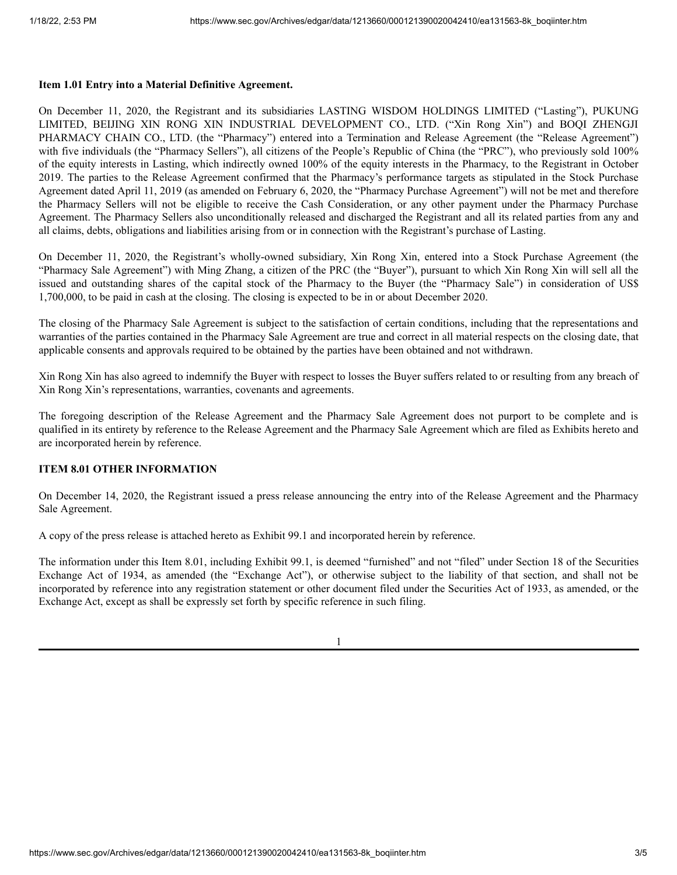#### **Item 1.01 Entry into a Material Definitive Agreement.**

On December 11, 2020, the Registrant and its subsidiaries LASTING WISDOM HOLDINGS LIMITED ("Lasting"), PUKUNG LIMITED, BEIJING XIN RONG XIN INDUSTRIAL DEVELOPMENT CO., LTD. ("Xin Rong Xin") and BOQI ZHENGJI PHARMACY CHAIN CO., LTD. (the "Pharmacy") entered into a Termination and Release Agreement (the "Release Agreement") with five individuals (the "Pharmacy Sellers"), all citizens of the People's Republic of China (the "PRC"), who previously sold 100% of the equity interests in Lasting, which indirectly owned 100% of the equity interests in the Pharmacy, to the Registrant in October 2019. The parties to the Release Agreement confirmed that the Pharmacy's performance targets as stipulated in the Stock Purchase Agreement dated April 11, 2019 (as amended on February 6, 2020, the "Pharmacy Purchase Agreement") will not be met and therefore the Pharmacy Sellers will not be eligible to receive the Cash Consideration, or any other payment under the Pharmacy Purchase Agreement. The Pharmacy Sellers also unconditionally released and discharged the Registrant and all its related parties from any and all claims, debts, obligations and liabilities arising from or in connection with the Registrant's purchase of Lasting.

On December 11, 2020, the Registrant's wholly-owned subsidiary, Xin Rong Xin, entered into a Stock Purchase Agreement (the "Pharmacy Sale Agreement") with Ming Zhang, a citizen of the PRC (the "Buyer"), pursuant to which Xin Rong Xin will sell all the issued and outstanding shares of the capital stock of the Pharmacy to the Buyer (the "Pharmacy Sale") in consideration of US\$ 1,700,000, to be paid in cash at the closing. The closing is expected to be in or about December 2020.

The closing of the Pharmacy Sale Agreement is subject to the satisfaction of certain conditions, including that the representations and warranties of the parties contained in the Pharmacy Sale Agreement are true and correct in all material respects on the closing date, that applicable consents and approvals required to be obtained by the parties have been obtained and not withdrawn.

Xin Rong Xin has also agreed to indemnify the Buyer with respect to losses the Buyer suffers related to or resulting from any breach of Xin Rong Xin's representations, warranties, covenants and agreements.

The foregoing description of the Release Agreement and the Pharmacy Sale Agreement does not purport to be complete and is qualified in its entirety by reference to the Release Agreement and the Pharmacy Sale Agreement which are filed as Exhibits hereto and are incorporated herein by reference.

### **ITEM 8.01 OTHER INFORMATION**

On December 14, 2020, the Registrant issued a press release announcing the entry into of the Release Agreement and the Pharmacy Sale Agreement.

A copy of the press release is attached hereto as Exhibit 99.1 and incorporated herein by reference.

The information under this Item 8.01, including Exhibit 99.1, is deemed "furnished" and not "filed" under Section 18 of the Securities Exchange Act of 1934, as amended (the "Exchange Act"), or otherwise subject to the liability of that section, and shall not be incorporated by reference into any registration statement or other document filed under the Securities Act of 1933, as amended, or the Exchange Act, except as shall be expressly set forth by specific reference in such filing.

1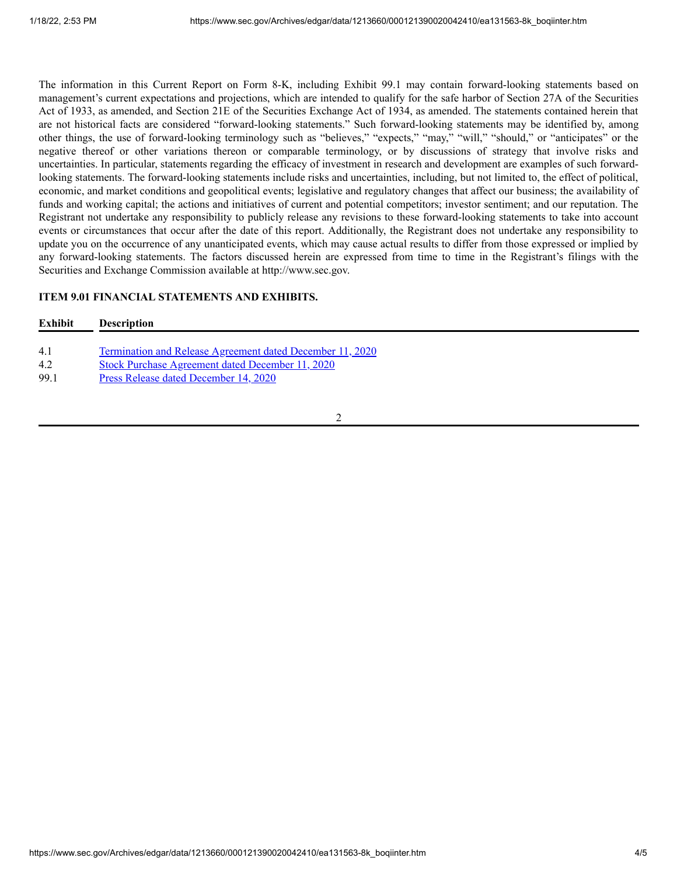The information in this Current Report on Form 8-K, including Exhibit 99.1 may contain forward-looking statements based on management's current expectations and projections, which are intended to qualify for the safe harbor of Section 27A of the Securities Act of 1933, as amended, and Section 21E of the Securities Exchange Act of 1934, as amended. The statements contained herein that are not historical facts are considered "forward-looking statements." Such forward-looking statements may be identified by, among other things, the use of forward-looking terminology such as "believes," "expects," "may," "will," "should," or "anticipates" or the negative thereof or other variations thereon or comparable terminology, or by discussions of strategy that involve risks and uncertainties. In particular, statements regarding the efficacy of investment in research and development are examples of such forwardlooking statements. The forward-looking statements include risks and uncertainties, including, but not limited to, the effect of political, economic, and market conditions and geopolitical events; legislative and regulatory changes that affect our business; the availability of funds and working capital; the actions and initiatives of current and potential competitors; investor sentiment; and our reputation. The Registrant not undertake any responsibility to publicly release any revisions to these forward-looking statements to take into account events or circumstances that occur after the date of this report. Additionally, the Registrant does not undertake any responsibility to update you on the occurrence of any unanticipated events, which may cause actual results to differ from those expressed or implied by any forward-looking statements. The factors discussed herein are expressed from time to time in the Registrant's filings with the Securities and Exchange Commission available at http://www.sec.gov.

## **ITEM 9.01 FINANCIAL STATEMENTS AND EXHIBITS.**

# **Exhibit Description**

- 4.1 [Termination](https://www.sec.gov/Archives/edgar/data/1213660/000121390020042410/ea131563ex4-1_boqiinter.htm) and Release Agreement dated December 11, 2020
- 4.2 Stock Purchase [Agreement](https://www.sec.gov/Archives/edgar/data/1213660/000121390020042410/ea131563ex4-2_boqiinter.htm) dated December 11, 2020
- 99.1 Press Release dated [December](https://www.sec.gov/Archives/edgar/data/1213660/000121390020042410/ea131563ex99-1_boqiinter.htm) 14, 2020

2